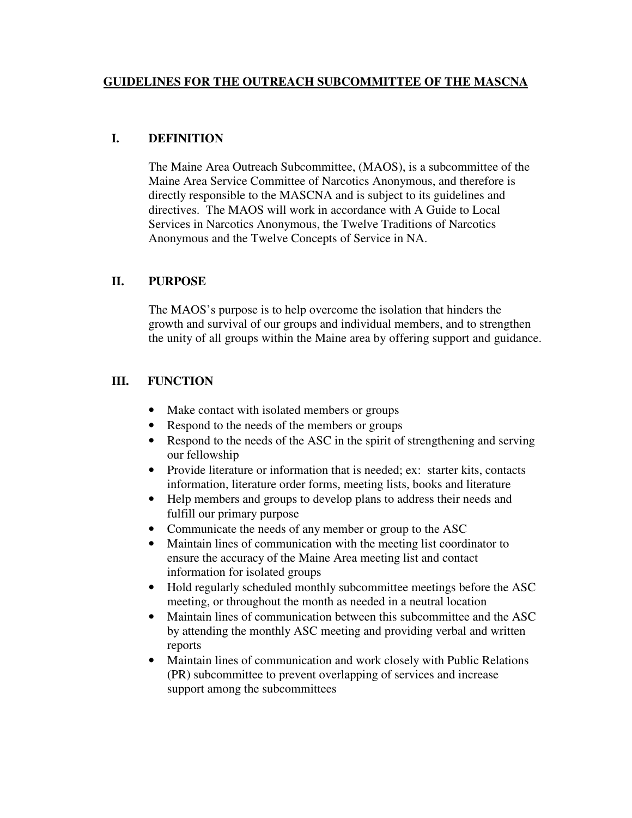#### **GUIDELINES FOR THE OUTREACH SUBCOMMITTEE OF THE MASCNA**

#### **I. DEFINITION**

The Maine Area Outreach Subcommittee, (MAOS), is a subcommittee of the Maine Area Service Committee of Narcotics Anonymous, and therefore is directly responsible to the MASCNA and is subject to its guidelines and directives. The MAOS will work in accordance with A Guide to Local Services in Narcotics Anonymous, the Twelve Traditions of Narcotics Anonymous and the Twelve Concepts of Service in NA.

#### **II. PURPOSE**

The MAOS's purpose is to help overcome the isolation that hinders the growth and survival of our groups and individual members, and to strengthen the unity of all groups within the Maine area by offering support and guidance.

### **III. FUNCTION**

- Make contact with isolated members or groups
- Respond to the needs of the members or groups
- Respond to the needs of the ASC in the spirit of strengthening and serving our fellowship
- Provide literature or information that is needed; ex: starter kits, contacts information, literature order forms, meeting lists, books and literature
- Help members and groups to develop plans to address their needs and fulfill our primary purpose
- Communicate the needs of any member or group to the ASC
- Maintain lines of communication with the meeting list coordinator to ensure the accuracy of the Maine Area meeting list and contact information for isolated groups
- Hold regularly scheduled monthly subcommittee meetings before the ASC meeting, or throughout the month as needed in a neutral location
- Maintain lines of communication between this subcommittee and the ASC by attending the monthly ASC meeting and providing verbal and written reports
- Maintain lines of communication and work closely with Public Relations (PR) subcommittee to prevent overlapping of services and increase support among the subcommittees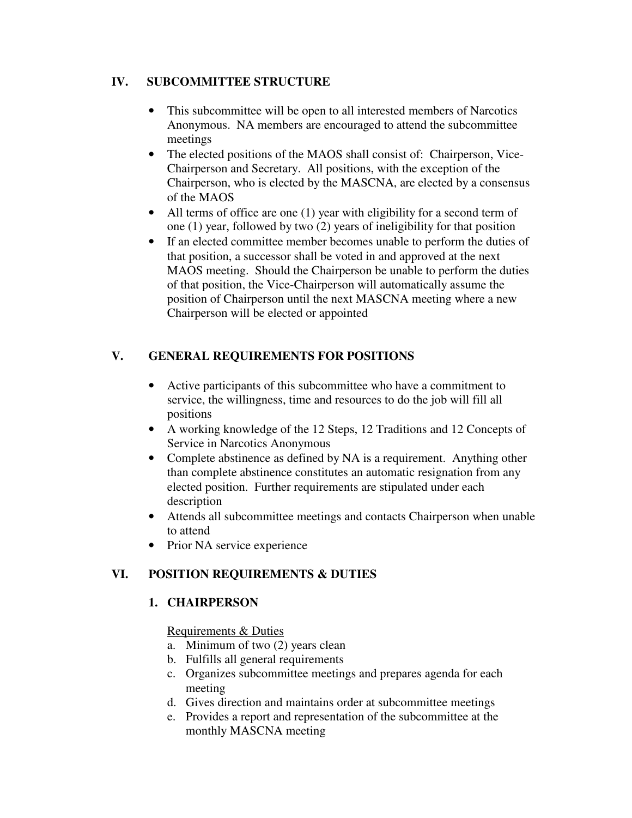### **IV. SUBCOMMITTEE STRUCTURE**

- This subcommittee will be open to all interested members of Narcotics Anonymous. NA members are encouraged to attend the subcommittee meetings
- The elected positions of the MAOS shall consist of: Chairperson, Vice-Chairperson and Secretary. All positions, with the exception of the Chairperson, who is elected by the MASCNA, are elected by a consensus of the MAOS
- All terms of office are one (1) year with eligibility for a second term of one (1) year, followed by two (2) years of ineligibility for that position
- If an elected committee member becomes unable to perform the duties of that position, a successor shall be voted in and approved at the next MAOS meeting. Should the Chairperson be unable to perform the duties of that position, the Vice-Chairperson will automatically assume the position of Chairperson until the next MASCNA meeting where a new Chairperson will be elected or appointed

# **V. GENERAL REQUIREMENTS FOR POSITIONS**

- Active participants of this subcommittee who have a commitment to service, the willingness, time and resources to do the job will fill all positions
- A working knowledge of the 12 Steps, 12 Traditions and 12 Concepts of Service in Narcotics Anonymous
- Complete abstinence as defined by NA is a requirement. Anything other than complete abstinence constitutes an automatic resignation from any elected position. Further requirements are stipulated under each description
- Attends all subcommittee meetings and contacts Chairperson when unable to attend
- Prior NA service experience

## **VI. POSITION REQUIREMENTS & DUTIES**

## **1. CHAIRPERSON**

Requirements & Duties

- a. Minimum of two (2) years clean
- b. Fulfills all general requirements
- c. Organizes subcommittee meetings and prepares agenda for each meeting
- d. Gives direction and maintains order at subcommittee meetings
- e. Provides a report and representation of the subcommittee at the monthly MASCNA meeting